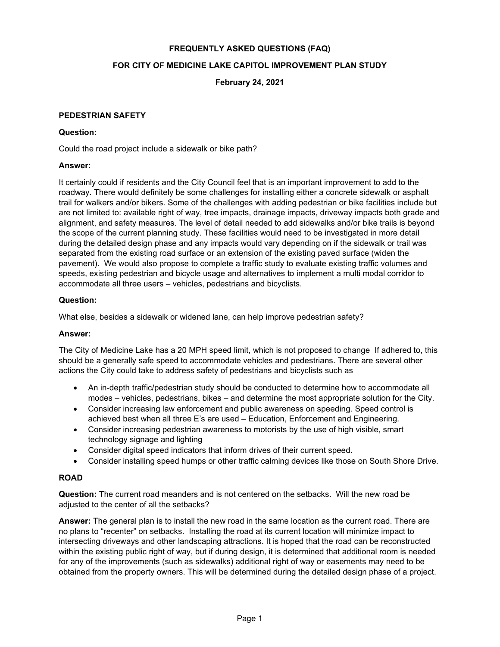## **FREQUENTLY ASKED QUESTIONS (FAQ)**

## **FOR CITY OF MEDICINE LAKE CAPITOL IMPROVEMENT PLAN STUDY**

**February 24, 2021**

#### **PEDESTRIAN SAFETY**

#### **Question:**

Could the road project include a sidewalk or bike path?

#### **Answer:**

It certainly could if residents and the City Council feel that is an important improvement to add to the roadway. There would definitely be some challenges for installing either a concrete sidewalk or asphalt trail for walkers and/or bikers. Some of the challenges with adding pedestrian or bike facilities include but are not limited to: available right of way, tree impacts, drainage impacts, driveway impacts both grade and alignment, and safety measures. The level of detail needed to add sidewalks and/or bike trails is beyond the scope of the current planning study. These facilities would need to be investigated in more detail during the detailed design phase and any impacts would vary depending on if the sidewalk or trail was separated from the existing road surface or an extension of the existing paved surface (widen the pavement). We would also propose to complete a traffic study to evaluate existing traffic volumes and speeds, existing pedestrian and bicycle usage and alternatives to implement a multi modal corridor to accommodate all three users – vehicles, pedestrians and bicyclists.

#### **Question:**

What else, besides a sidewalk or widened lane, can help improve pedestrian safety?

### **Answer:**

The City of Medicine Lake has a 20 MPH speed limit, which is not proposed to change If adhered to, this should be a generally safe speed to accommodate vehicles and pedestrians. There are several other actions the City could take to address safety of pedestrians and bicyclists such as

- An in-depth traffic/pedestrian study should be conducted to determine how to accommodate all modes – vehicles, pedestrians, bikes – and determine the most appropriate solution for the City.
- Consider increasing law enforcement and public awareness on speeding. Speed control is achieved best when all three E's are used – Education, Enforcement and Engineering.
- Consider increasing pedestrian awareness to motorists by the use of high visible, smart technology signage and lighting
- Consider digital speed indicators that inform drives of their current speed.
- Consider installing speed humps or other traffic calming devices like those on South Shore Drive.

# **ROAD**

**Question:** The current road meanders and is not centered on the setbacks. Will the new road be adjusted to the center of all the setbacks?

**Answer:** The general plan is to install the new road in the same location as the current road. There are no plans to "recenter" on setbacks. Installing the road at its current location will minimize impact to intersecting driveways and other landscaping attractions. It is hoped that the road can be reconstructed within the existing public right of way, but if during design, it is determined that additional room is needed for any of the improvements (such as sidewalks) additional right of way or easements may need to be obtained from the property owners. This will be determined during the detailed design phase of a project.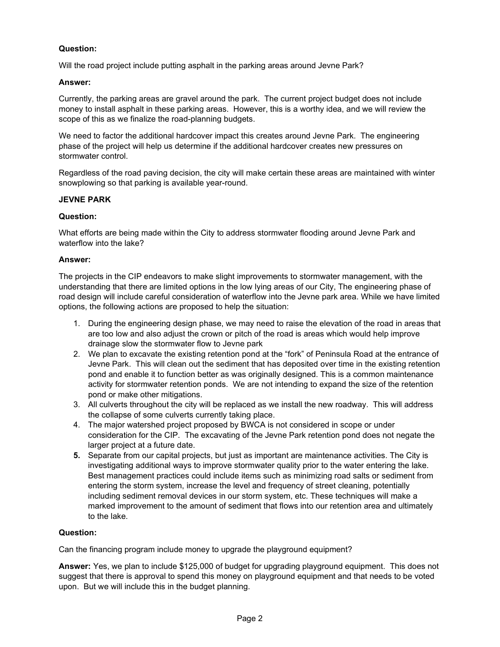# **Question:**

Will the road project include putting asphalt in the parking areas around Jevne Park?

## **Answer:**

Currently, the parking areas are gravel around the park. The current project budget does not include money to install asphalt in these parking areas. However, this is a worthy idea, and we will review the scope of this as we finalize the road-planning budgets.

We need to factor the additional hardcover impact this creates around Jevne Park. The engineering phase of the project will help us determine if the additional hardcover creates new pressures on stormwater control.

Regardless of the road paving decision, the city will make certain these areas are maintained with winter snowplowing so that parking is available year-round.

## **JEVNE PARK**

## **Question:**

What efforts are being made within the City to address stormwater flooding around Jevne Park and waterflow into the lake?

## **Answer:**

The projects in the CIP endeavors to make slight improvements to stormwater management, with the understanding that there are limited options in the low lying areas of our City, The engineering phase of road design will include careful consideration of waterflow into the Jevne park area. While we have limited options, the following actions are proposed to help the situation:

- 1. During the engineering design phase, we may need to raise the elevation of the road in areas that are too low and also adjust the crown or pitch of the road is areas which would help improve drainage slow the stormwater flow to Jevne park
- 2. We plan to excavate the existing retention pond at the "fork" of Peninsula Road at the entrance of Jevne Park. This will clean out the sediment that has deposited over time in the existing retention pond and enable it to function better as was originally designed. This is a common maintenance activity for stormwater retention ponds. We are not intending to expand the size of the retention pond or make other mitigations.
- 3. All culverts throughout the city will be replaced as we install the new roadway. This will address the collapse of some culverts currently taking place.
- 4. The major watershed project proposed by BWCA is not considered in scope or under consideration for the CIP. The excavating of the Jevne Park retention pond does not negate the larger project at a future date.
- **5.** Separate from our capital projects, but just as important are maintenance activities. The City is investigating additional ways to improve stormwater quality prior to the water entering the lake. Best management practices could include items such as minimizing road salts or sediment from entering the storm system, increase the level and frequency of street cleaning, potentially including sediment removal devices in our storm system, etc. These techniques will make a marked improvement to the amount of sediment that flows into our retention area and ultimately to the lake.

# **Question:**

Can the financing program include money to upgrade the playground equipment?

**Answer:** Yes, we plan to include \$125,000 of budget for upgrading playground equipment. This does not suggest that there is approval to spend this money on playground equipment and that needs to be voted upon. But we will include this in the budget planning.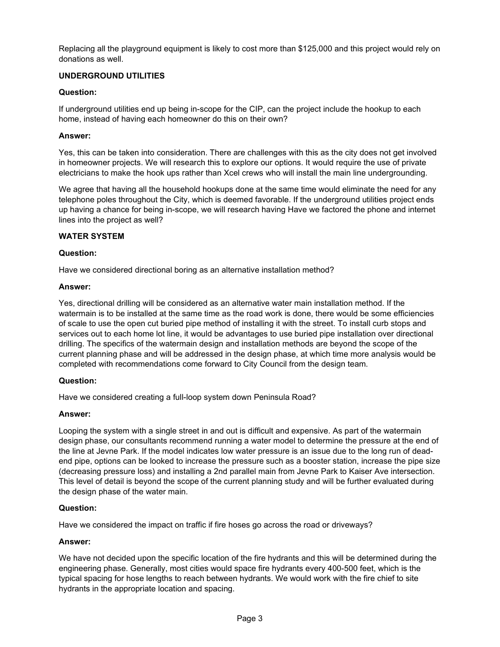Replacing all the playground equipment is likely to cost more than \$125,000 and this project would rely on donations as well.

## **UNDERGROUND UTILITIES**

## **Question:**

If underground utilities end up being in-scope for the CIP, can the project include the hookup to each home, instead of having each homeowner do this on their own?

### **Answer:**

Yes, this can be taken into consideration. There are challenges with this as the city does not get involved in homeowner projects. We will research this to explore our options. It would require the use of private electricians to make the hook ups rather than Xcel crews who will install the main line undergrounding.

We agree that having all the household hookups done at the same time would eliminate the need for any telephone poles throughout the City, which is deemed favorable. If the underground utilities project ends up having a chance for being in-scope, we will research having Have we factored the phone and internet lines into the project as well?

## **WATER SYSTEM**

### **Question:**

Have we considered directional boring as an alternative installation method?

### **Answer:**

Yes, directional drilling will be considered as an alternative water main installation method. If the watermain is to be installed at the same time as the road work is done, there would be some efficiencies of scale to use the open cut buried pipe method of installing it with the street. To install curb stops and services out to each home lot line, it would be advantages to use buried pipe installation over directional drilling. The specifics of the watermain design and installation methods are beyond the scope of the current planning phase and will be addressed in the design phase, at which time more analysis would be completed with recommendations come forward to City Council from the design team.

### **Question:**

Have we considered creating a full-loop system down Peninsula Road?

### **Answer:**

Looping the system with a single street in and out is difficult and expensive. As part of the watermain design phase, our consultants recommend running a water model to determine the pressure at the end of the line at Jevne Park. If the model indicates low water pressure is an issue due to the long run of deadend pipe, options can be looked to increase the pressure such as a booster station, increase the pipe size (decreasing pressure loss) and installing a 2nd parallel main from Jevne Park to Kaiser Ave intersection. This level of detail is beyond the scope of the current planning study and will be further evaluated during the design phase of the water main.

# **Question:**

Have we considered the impact on traffic if fire hoses go across the road or driveways?

# **Answer:**

We have not decided upon the specific location of the fire hydrants and this will be determined during the engineering phase. Generally, most cities would space fire hydrants every 400-500 feet, which is the typical spacing for hose lengths to reach between hydrants. We would work with the fire chief to site hydrants in the appropriate location and spacing.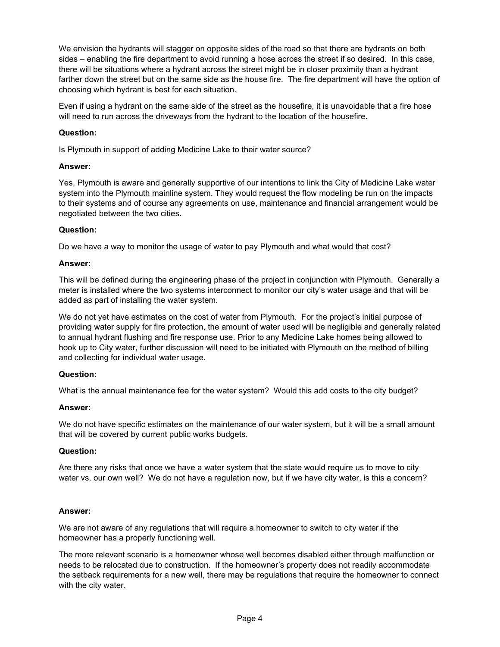We envision the hydrants will stagger on opposite sides of the road so that there are hydrants on both sides – enabling the fire department to avoid running a hose across the street if so desired. In this case, there will be situations where a hydrant across the street might be in closer proximity than a hydrant farther down the street but on the same side as the house fire. The fire department will have the option of choosing which hydrant is best for each situation.

Even if using a hydrant on the same side of the street as the housefire, it is unavoidable that a fire hose will need to run across the driveways from the hydrant to the location of the housefire.

## **Question:**

Is Plymouth in support of adding Medicine Lake to their water source?

## **Answer:**

Yes, Plymouth is aware and generally supportive of our intentions to link the City of Medicine Lake water system into the Plymouth mainline system. They would request the flow modeling be run on the impacts to their systems and of course any agreements on use, maintenance and financial arrangement would be negotiated between the two cities.

## **Question:**

Do we have a way to monitor the usage of water to pay Plymouth and what would that cost?

## **Answer:**

This will be defined during the engineering phase of the project in conjunction with Plymouth. Generally a meter is installed where the two systems interconnect to monitor our city's water usage and that will be added as part of installing the water system.

We do not yet have estimates on the cost of water from Plymouth. For the project's initial purpose of providing water supply for fire protection, the amount of water used will be negligible and generally related to annual hydrant flushing and fire response use. Prior to any Medicine Lake homes being allowed to hook up to City water, further discussion will need to be initiated with Plymouth on the method of billing and collecting for individual water usage.

### **Question:**

What is the annual maintenance fee for the water system? Would this add costs to the city budget?

### **Answer:**

We do not have specific estimates on the maintenance of our water system, but it will be a small amount that will be covered by current public works budgets.

### **Question:**

Are there any risks that once we have a water system that the state would require us to move to city water vs. our own well? We do not have a regulation now, but if we have city water, is this a concern?

### **Answer:**

We are not aware of any regulations that will require a homeowner to switch to city water if the homeowner has a properly functioning well.

The more relevant scenario is a homeowner whose well becomes disabled either through malfunction or needs to be relocated due to construction. If the homeowner's property does not readily accommodate the setback requirements for a new well, there may be regulations that require the homeowner to connect with the city water.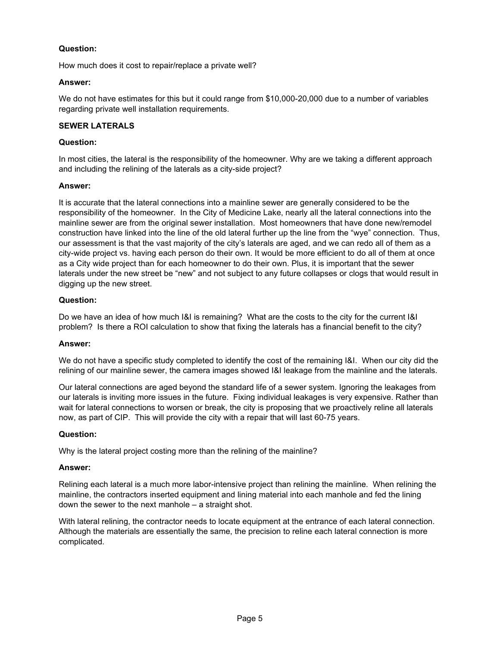# **Question:**

How much does it cost to repair/replace a private well?

## **Answer:**

We do not have estimates for this but it could range from \$10,000-20,000 due to a number of variables regarding private well installation requirements.

## **SEWER LATERALS**

### **Question:**

In most cities, the lateral is the responsibility of the homeowner. Why are we taking a different approach and including the relining of the laterals as a city-side project?

## **Answer:**

It is accurate that the lateral connections into a mainline sewer are generally considered to be the responsibility of the homeowner. In the City of Medicine Lake, nearly all the lateral connections into the mainline sewer are from the original sewer installation. Most homeowners that have done new/remodel construction have linked into the line of the old lateral further up the line from the "wye" connection. Thus, our assessment is that the vast majority of the city's laterals are aged, and we can redo all of them as a city-wide project vs. having each person do their own. It would be more efficient to do all of them at once as a City wide project than for each homeowner to do their own. Plus, it is important that the sewer laterals under the new street be "new" and not subject to any future collapses or clogs that would result in digging up the new street.

## **Question:**

Do we have an idea of how much I&I is remaining? What are the costs to the city for the current I&I problem? Is there a ROI calculation to show that fixing the laterals has a financial benefit to the city?

### **Answer:**

We do not have a specific study completed to identify the cost of the remaining I&I. When our city did the relining of our mainline sewer, the camera images showed I&I leakage from the mainline and the laterals.

Our lateral connections are aged beyond the standard life of a sewer system. Ignoring the leakages from our laterals is inviting more issues in the future. Fixing individual leakages is very expensive. Rather than wait for lateral connections to worsen or break, the city is proposing that we proactively reline all laterals now, as part of CIP. This will provide the city with a repair that will last 60-75 years.

### **Question:**

Why is the lateral project costing more than the relining of the mainline?

### **Answer:**

Relining each lateral is a much more labor-intensive project than relining the mainline. When relining the mainline, the contractors inserted equipment and lining material into each manhole and fed the lining down the sewer to the next manhole – a straight shot.

With lateral relining, the contractor needs to locate equipment at the entrance of each lateral connection. Although the materials are essentially the same, the precision to reline each lateral connection is more complicated.